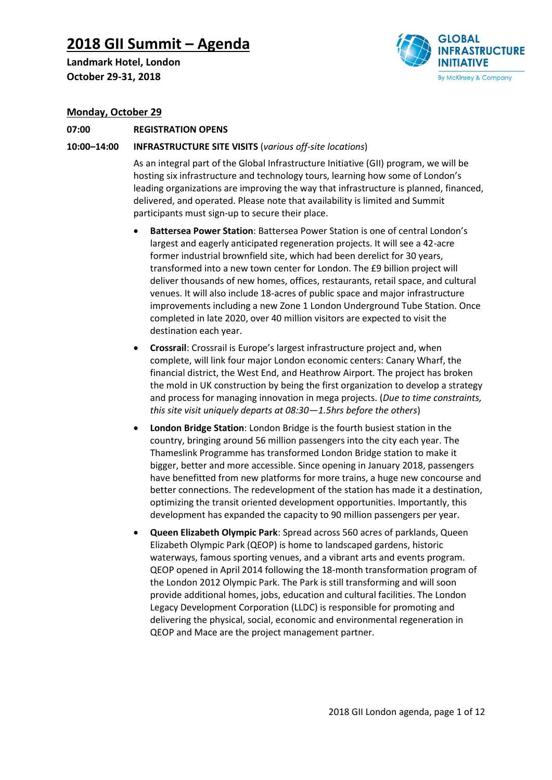# **2018 GII Summit – Agenda**

**Landmark Hotel, London October 29-31, 2018**



# **Monday, October 29**

# **07:00 REGISTRATION OPENS**

# **10:00–14:00 INFRASTRUCTURE SITE VISITS** (*various off-site locations*)

As an integral part of the Global Infrastructure Initiative (GII) program, we will be hosting six infrastructure and technology tours, learning how some of London's leading organizations are improving the way that infrastructure is planned, financed, delivered, and operated. Please note that availability is limited and Summit participants must sign-up to secure their place.

- **Battersea Power Station**: Battersea Power Station is one of central London's largest and eagerly anticipated regeneration projects. It will see a 42-acre former industrial brownfield site, which had been derelict for 30 years, transformed into a new town center for London. The £9 billion project will deliver thousands of new homes, offices, restaurants, retail space, and cultural venues. It will also include 18-acres of public space and major infrastructure improvements including a new Zone 1 London Underground Tube Station. Once completed in late 2020, over 40 million visitors are expected to visit the destination each year.
- **Crossrail**: Crossrail is Europe's largest infrastructure project and, when complete, will link four major London economic centers: Canary Wharf, the financial district, the West End, and Heathrow Airport. The project has broken the mold in UK construction by being the first organization to develop a strategy and process for managing innovation in mega projects. (*Due to time constraints, this site visit uniquely departs at 08:30—1.5hrs before the others*)
- **London Bridge Station**: London Bridge is the fourth busiest station in the country, bringing around 56 million passengers into the city each year. The Thameslink Programme has transformed London Bridge station to make it bigger, better and more accessible. Since opening in January 2018, passengers have benefitted from new platforms for more trains, a huge new concourse and better connections. The redevelopment of the station has made it a destination, optimizing the transit oriented development opportunities. Importantly, this development has expanded the capacity to 90 million passengers per year.
- **Queen Elizabeth Olympic Park**: Spread across 560 acres of parklands, Queen Elizabeth Olympic Park (QEOP) is home to landscaped gardens, historic waterways, famous sporting venues, and a vibrant arts and events program. QEOP opened in April 2014 following the 18-month transformation program of the London 2012 Olympic Park. The Park is still transforming and will soon provide additional homes, jobs, education and cultural facilities. The London Legacy Development Corporation (LLDC) is responsible for promoting and delivering the physical, social, economic and environmental regeneration in QEOP and Mace are the project management partner.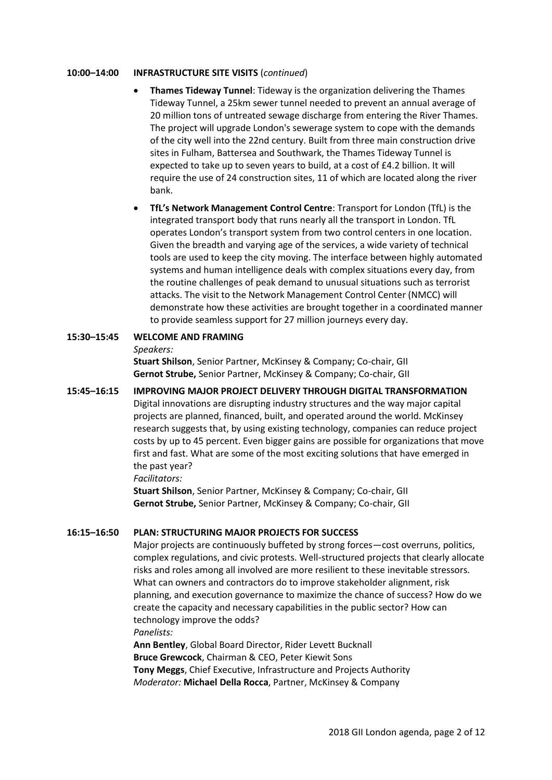## **10:00–14:00 INFRASTRUCTURE SITE VISITS** (*continued*)

- **Thames Tideway Tunnel**: Tideway is the organization delivering the Thames Tideway Tunnel, a 25km sewer tunnel needed to prevent an annual average of 20 million tons of untreated sewage discharge from entering the River Thames. The project will upgrade London's sewerage system to cope with the demands of the city well into the 22nd century. Built from three main construction drive sites in Fulham, Battersea and Southwark, the Thames Tideway Tunnel is expected to take up to seven years to build, at a cost of £4.2 billion. It will require the use of 24 construction sites, 11 of which are located along the river bank.
- **TfL's Network Management Control Centre**: Transport for London (TfL) is the integrated transport body that runs nearly all the transport in London. TfL operates London's transport system from two control centers in one location. Given the breadth and varying age of the services, a wide variety of technical tools are used to keep the city moving. The interface between highly automated systems and human intelligence deals with complex situations every day, from the routine challenges of peak demand to unusual situations such as terrorist attacks. The visit to the Network Management Control Center (NMCC) will demonstrate how these activities are brought together in a coordinated manner to provide seamless support for 27 million journeys every day.

# **15:30–15:45 WELCOME AND FRAMING**

## *Speakers:*

**Stuart Shilson**, Senior Partner, McKinsey & Company; Co-chair, GII **Gernot Strube,** Senior Partner, McKinsey & Company; Co-chair, GII

# **15:45–16:15 IMPROVING MAJOR PROJECT DELIVERY THROUGH DIGITAL TRANSFORMATION** Digital innovations are disrupting industry structures and the way major capital projects are planned, financed, built, and operated around the world. McKinsey research suggests that, by using existing technology, companies can reduce project costs by up to 45 percent. Even bigger gains are possible for organizations that move first and fast. What are some of the most exciting solutions that have emerged in the past year?

*Facilitators:*

**Stuart Shilson**, Senior Partner, McKinsey & Company; Co-chair, GII **Gernot Strube,** Senior Partner, McKinsey & Company; Co-chair, GII

# **16:15–16:50 PLAN: STRUCTURING MAJOR PROJECTS FOR SUCCESS**

Major projects are continuously buffeted by strong forces—cost overruns, politics, complex regulations, and civic protests. Well-structured projects that clearly allocate risks and roles among all involved are more resilient to these inevitable stressors. What can owners and contractors do to improve stakeholder alignment, risk planning, and execution governance to maximize the chance of success? How do we create the capacity and necessary capabilities in the public sector? How can technology improve the odds? *Panelists:*

**Ann Bentley**, Global Board Director, Rider Levett Bucknall **Bruce Grewcock**, Chairman & CEO, Peter Kiewit Sons **Tony Meggs**, Chief Executive, Infrastructure and Projects Authority *Moderator:* **Michael Della Rocca**, Partner, McKinsey & Company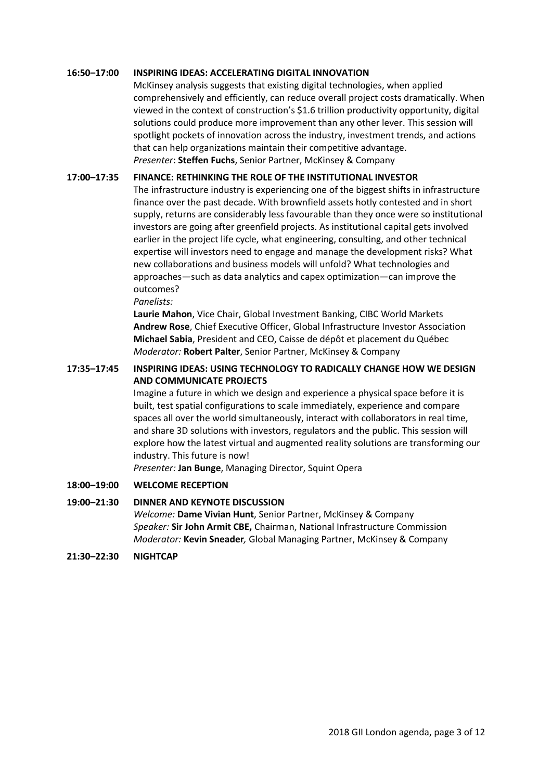# **16:50–17:00 INSPIRING IDEAS: ACCELERATING DIGITAL INNOVATION**

McKinsey analysis suggests that existing digital technologies, when applied comprehensively and efficiently, can reduce overall project costs dramatically. When viewed in the context of construction's \$1.6 trillion productivity opportunity, digital solutions could produce more improvement than any other lever. This session will spotlight pockets of innovation across the industry, investment trends, and actions that can help organizations maintain their competitive advantage. *Presenter*: **Steffen Fuchs**, Senior Partner, McKinsey & Company

# **17:00–17:35 FINANCE: RETHINKING THE ROLE OF THE INSTITUTIONAL INVESTOR**

The infrastructure industry is experiencing one of the biggest shifts in infrastructure finance over the past decade. With brownfield assets hotly contested and in short supply, returns are considerably less favourable than they once were so institutional investors are going after greenfield projects. As institutional capital gets involved earlier in the project life cycle, what engineering, consulting, and other technical expertise will investors need to engage and manage the development risks? What new collaborations and business models will unfold? What technologies and approaches—such as data analytics and capex optimization—can improve the outcomes?

*Panelists:*

**Laurie Mahon**, Vice Chair, Global Investment Banking, CIBC World Markets **Andrew Rose**, Chief Executive Officer, Global Infrastructure Investor Association **Michael Sabia**, President and CEO, Caisse de dépôt et placement du Québec *Moderator:* **Robert Palter**, Senior Partner, McKinsey & Company

# **17:35–17:45 INSPIRING IDEAS: USING TECHNOLOGY TO RADICALLY CHANGE HOW WE DESIGN AND COMMUNICATE PROJECTS**

Imagine a future in which we design and experience a physical space before it is built, test spatial configurations to scale immediately, experience and compare spaces all over the world simultaneously, interact with collaborators in real time, and share 3D solutions with investors, regulators and the public. This session will explore how the latest virtual and augmented reality solutions are transforming our industry. This future is now!

*Presenter:* **Jan Bunge**, Managing Director, Squint Opera

# **18:00–19:00 WELCOME RECEPTION**

# **19:00–21:30 DINNER AND KEYNOTE DISCUSSION**

*Welcome:* **Dame Vivian Hunt**, Senior Partner, McKinsey & Company *Speaker:* **Sir John Armit CBE,** Chairman, National Infrastructure Commission *Moderator:* **Kevin Sneader***,* Global Managing Partner, McKinsey & Company

**21:30–22:30 NIGHTCAP**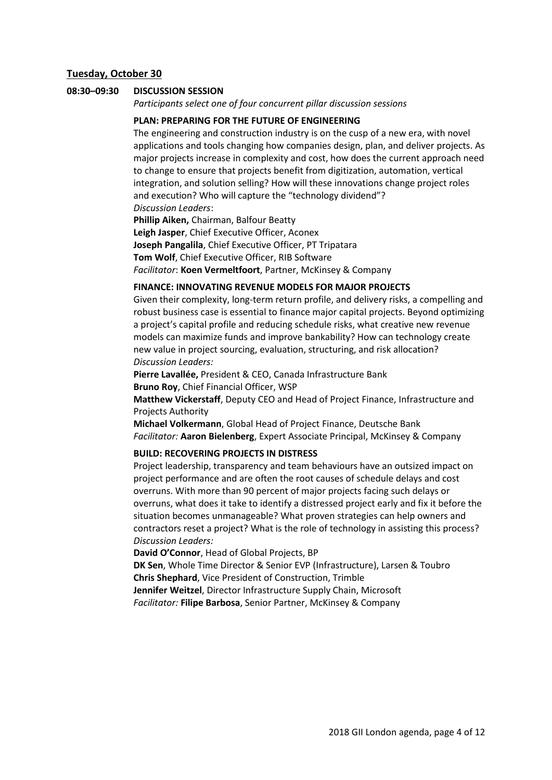# **Tuesday, October 30**

#### **08:30–09:30 DISCUSSION SESSION**

*Participants select one of four concurrent pillar discussion sessions*

# **PLAN: PREPARING FOR THE FUTURE OF ENGINEERING**

The engineering and construction industry is on the cusp of a new era, with novel applications and tools changing how companies design, plan, and deliver projects. As major projects increase in complexity and cost, how does the current approach need to change to ensure that projects benefit from digitization, automation, vertical integration, and solution selling? How will these innovations change project roles and execution? Who will capture the "technology dividend"? *Discussion Leaders*:

**Phillip Aiken,** Chairman, Balfour Beatty **Leigh Jasper**, Chief Executive Officer, Aconex **Joseph Pangalila**, Chief Executive Officer, PT Tripatara **Tom Wolf**, Chief Executive Officer, RIB Software *Facilitator*: **Koen Vermeltfoort**, Partner, McKinsey & Company

# **FINANCE: INNOVATING REVENUE MODELS FOR MAJOR PROJECTS**

Given their complexity, long-term return profile, and delivery risks, a compelling and robust business case is essential to finance major capital projects. Beyond optimizing a project's capital profile and reducing schedule risks, what creative new revenue models can maximize funds and improve bankability? How can technology create new value in project sourcing, evaluation, structuring, and risk allocation? *Discussion Leaders:*

**Pierre Lavallée,** President & CEO, Canada Infrastructure Bank **Bruno Roy**, Chief Financial Officer, WSP

**Matthew Vickerstaff**, Deputy CEO and Head of Project Finance, Infrastructure and Projects Authority

**Michael Volkermann**, Global Head of Project Finance, Deutsche Bank *Facilitator:* **Aaron Bielenberg**, Expert Associate Principal, McKinsey & Company

# **BUILD: RECOVERING PROJECTS IN DISTRESS**

Project leadership, transparency and team behaviours have an outsized impact on project performance and are often the root causes of schedule delays and cost overruns. With more than 90 percent of major projects facing such delays or overruns, what does it take to identify a distressed project early and fix it before the situation becomes unmanageable? What proven strategies can help owners and contractors reset a project? What is the role of technology in assisting this process? *Discussion Leaders:*

**David O'Connor**, Head of Global Projects, BP

**DK Sen**, Whole Time Director & Senior EVP (Infrastructure), Larsen & Toubro **Chris Shephard**, Vice President of Construction, Trimble

**Jennifer Weitzel**, Director Infrastructure Supply Chain, Microsoft *Facilitator:* **Filipe Barbosa**, Senior Partner, McKinsey & Company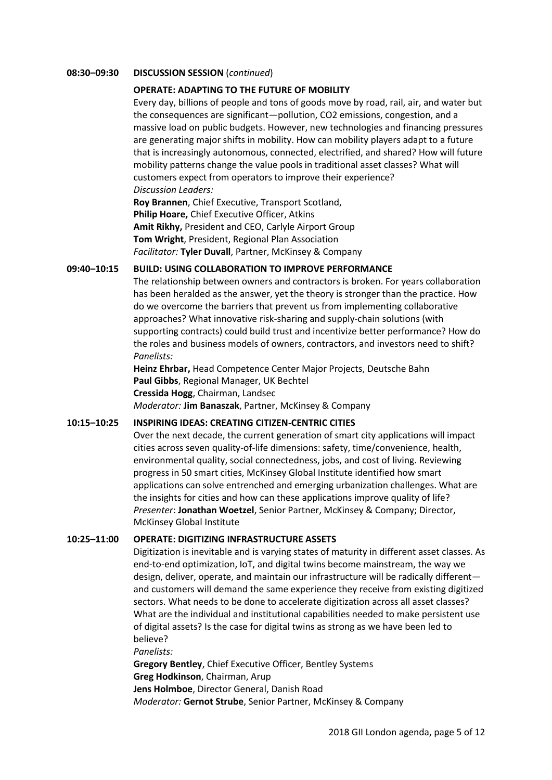## **08:30–09:30 DISCUSSION SESSION** (*continued*)

# **OPERATE: ADAPTING TO THE FUTURE OF MOBILITY**

Every day, billions of people and tons of goods move by road, rail, air, and water but the consequences are significant—pollution, CO2 emissions, congestion, and a massive load on public budgets. However, new technologies and financing pressures are generating major shifts in mobility. How can mobility players adapt to a future that is increasingly autonomous, connected, electrified, and shared? How will future mobility patterns change the value pools in traditional asset classes? What will customers expect from operators to improve their experience? *Discussion Leaders:*

**Roy Brannen**, Chief Executive, Transport Scotland, **Philip Hoare,** Chief Executive Officer, Atkins **Amit Rikhy,** President and CEO, Carlyle Airport Group **Tom Wright**, President, Regional Plan Association *Facilitator:* **Tyler Duvall**, Partner, McKinsey & Company

# **09:40–10:15 BUILD: USING COLLABORATION TO IMPROVE PERFORMANCE**

The relationship between owners and contractors is broken. For years collaboration has been heralded as the answer, yet the theory is stronger than the practice. How do we overcome the barriers that prevent us from implementing collaborative approaches? What innovative risk-sharing and supply-chain solutions (with supporting contracts) could build trust and incentivize better performance? How do the roles and business models of owners, contractors, and investors need to shift? *Panelists:*

**Heinz Ehrbar,** Head Competence Center Major Projects, Deutsche Bahn **Paul Gibbs**, Regional Manager, UK Bechtel **Cressida Hogg**, Chairman, Landsec *Moderator:* **Jim Banaszak**, Partner, McKinsey & Company

## **10:15–10:25 INSPIRING IDEAS: CREATING CITIZEN-CENTRIC CITIES**

Over the next decade, the current generation of smart city applications will impact cities across seven quality-of-life dimensions: safety, time/convenience, health, environmental quality, social connectedness, jobs, and cost of living. Reviewing progress in 50 smart cities, McKinsey Global Institute identified how smart applications can solve entrenched and emerging urbanization challenges. What are the insights for cities and how can these applications improve quality of life? *Presenter*: **Jonathan Woetzel**, Senior Partner, McKinsey & Company; Director, McKinsey Global Institute

## **10:25–11:00 OPERATE: DIGITIZING INFRASTRUCTURE ASSETS**

Digitization is inevitable and is varying states of maturity in different asset classes. As end-to-end optimization, IoT, and digital twins become mainstream, the way we design, deliver, operate, and maintain our infrastructure will be radically different and customers will demand the same experience they receive from existing digitized sectors. What needs to be done to accelerate digitization across all asset classes? What are the individual and institutional capabilities needed to make persistent use of digital assets? Is the case for digital twins as strong as we have been led to believe?

*Panelists:*

**Gregory Bentley**, Chief Executive Officer, Bentley Systems **Greg Hodkinson**, Chairman, Arup **Jens Holmboe**, Director General, Danish Road *Moderator:* **Gernot Strube**, Senior Partner, McKinsey & Company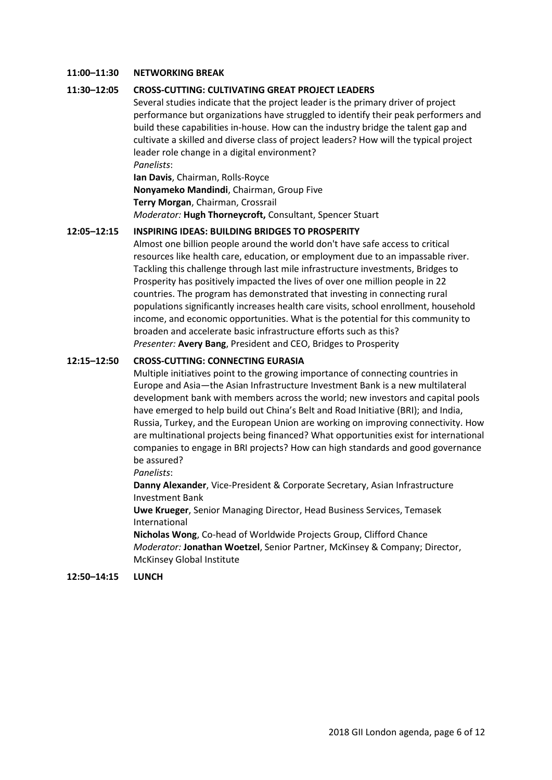# **11:00–11:30 NETWORKING BREAK**

# **11:30–12:05 CROSS-CUTTING: CULTIVATING GREAT PROJECT LEADERS**

Several studies indicate that the project leader is the primary driver of project performance but organizations have struggled to identify their peak performers and build these capabilities in-house. How can the industry bridge the talent gap and cultivate a skilled and diverse class of project leaders? How will the typical project leader role change in a digital environment? *Panelists*:

**Ian Davis**, Chairman, Rolls-Royce **Nonyameko Mandindi**, Chairman, Group Five **Terry Morgan**, Chairman, Crossrail *Moderator:* **Hugh Thorneycroft,** Consultant, Spencer Stuart

# **12:05–12:15 INSPIRING IDEAS: BUILDING BRIDGES TO PROSPERITY**

Almost one billion people around the world don't have safe access to critical resources like health care, education, or employment due to an impassable river. Tackling this challenge through last mile infrastructure investments, Bridges to Prosperity has positively impacted the lives of over one million people in 22 countries. The program has demonstrated that investing in connecting rural populations significantly increases health care visits, school enrollment, household income, and economic opportunities. What is the potential for this community to broaden and accelerate basic infrastructure efforts such as this? *Presenter:* **Avery Bang**, President and CEO, Bridges to Prosperity

# **12:15–12:50 CROSS-CUTTING: CONNECTING EURASIA**

Multiple initiatives point to the growing importance of connecting countries in Europe and Asia—the Asian Infrastructure Investment Bank is a new multilateral development bank with members across the world; new investors and capital pools have emerged to help build out China's Belt and Road Initiative (BRI); and India, Russia, Turkey, and the European Union are working on improving connectivity. How are multinational projects being financed? What opportunities exist for international companies to engage in BRI projects? How can high standards and good governance be assured?

#### *Panelists*:

**Danny Alexander**, Vice-President & Corporate Secretary, Asian Infrastructure Investment Bank

**Uwe Krueger**, Senior Managing Director, Head Business Services, Temasek International

**Nicholas Wong**, Co-head of Worldwide Projects Group, Clifford Chance *Moderator:* **Jonathan Woetzel**, Senior Partner, McKinsey & Company; Director, McKinsey Global Institute

## **12:50–14:15 LUNCH**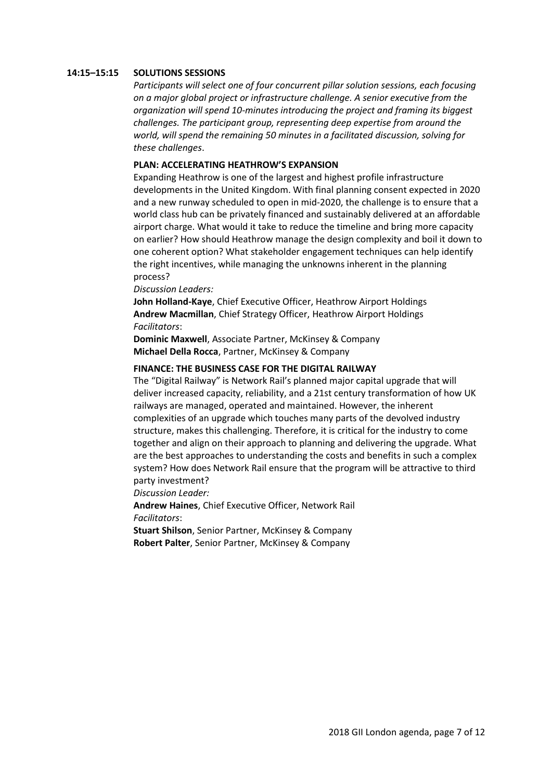## **14:15–15:15 SOLUTIONS SESSIONS**

*Participants will select one of four concurrent pillar solution sessions, each focusing on a major global project or infrastructure challenge. A senior executive from the organization will spend 10-minutes introducing the project and framing its biggest challenges. The participant group, representing deep expertise from around the world, will spend the remaining 50 minutes in a facilitated discussion, solving for these challenges*.

# **PLAN: ACCELERATING HEATHROW'S EXPANSION**

Expanding Heathrow is one of the largest and highest profile infrastructure developments in the United Kingdom. With final planning consent expected in 2020 and a new runway scheduled to open in mid-2020, the challenge is to ensure that a world class hub can be privately financed and sustainably delivered at an affordable airport charge. What would it take to reduce the timeline and bring more capacity on earlier? How should Heathrow manage the design complexity and boil it down to one coherent option? What stakeholder engagement techniques can help identify the right incentives, while managing the unknowns inherent in the planning process?

*Discussion Leaders:*

**John Holland-Kaye**, Chief Executive Officer, Heathrow Airport Holdings **Andrew Macmillan**, Chief Strategy Officer, Heathrow Airport Holdings *Facilitators*:

**Dominic Maxwell**, Associate Partner, McKinsey & Company **Michael Della Rocca**, Partner, McKinsey & Company

#### **FINANCE: THE BUSINESS CASE FOR THE DIGITAL RAILWAY**

The "Digital Railway" is Network Rail's planned major capital upgrade that will deliver increased capacity, reliability, and a 21st century transformation of how UK railways are managed, operated and maintained. However, the inherent complexities of an upgrade which touches many parts of the devolved industry structure, makes this challenging. Therefore, it is critical for the industry to come together and align on their approach to planning and delivering the upgrade. What are the best approaches to understanding the costs and benefits in such a complex system? How does Network Rail ensure that the program will be attractive to third party investment?

*Discussion Leader:*

**Andrew Haines**, Chief Executive Officer, Network Rail *Facilitators*:

**Stuart Shilson**, Senior Partner, McKinsey & Company **Robert Palter**, Senior Partner, McKinsey & Company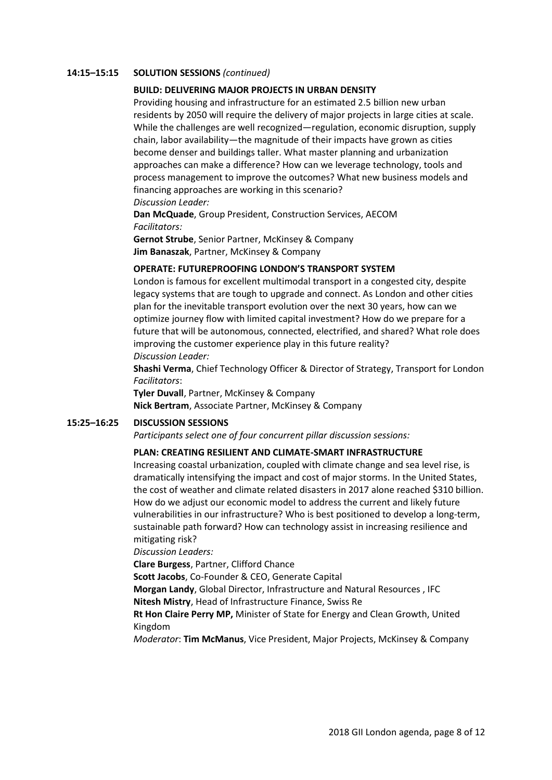## **14:15–15:15 SOLUTION SESSIONS** *(continued)*

# **BUILD: DELIVERING MAJOR PROJECTS IN URBAN DENSITY**

Providing housing and infrastructure for an estimated 2.5 billion new urban residents by 2050 will require the delivery of major projects in large cities at scale. While the challenges are well recognized—regulation, economic disruption, supply chain, labor availability—the magnitude of their impacts have grown as cities become denser and buildings taller. What master planning and urbanization approaches can make a difference? How can we leverage technology, tools and process management to improve the outcomes? What new business models and financing approaches are working in this scenario?

*Discussion Leader:*

**Dan McQuade**, Group President, Construction Services, AECOM *Facilitators:*

**Gernot Strube**, Senior Partner, McKinsey & Company **Jim Banaszak**, Partner, McKinsey & Company

# **OPERATE: FUTUREPROOFING LONDON'S TRANSPORT SYSTEM**

London is famous for excellent multimodal transport in a congested city, despite legacy systems that are tough to upgrade and connect. As London and other cities plan for the inevitable transport evolution over the next 30 years, how can we optimize journey flow with limited capital investment? How do we prepare for a future that will be autonomous, connected, electrified, and shared? What role does improving the customer experience play in this future reality? *Discussion Leader:*

**Shashi Verma**, Chief Technology Officer & Director of Strategy, Transport for London *Facilitators*:

**Tyler Duvall**, Partner, McKinsey & Company **Nick Bertram**, Associate Partner, McKinsey & Company

## **15:25–16:25 DISCUSSION SESSIONS**

*Participants select one of four concurrent pillar discussion sessions:*

## **PLAN: CREATING RESILIENT AND CLIMATE-SMART INFRASTRUCTURE**

Increasing coastal urbanization, coupled with climate change and sea level rise, is dramatically intensifying the impact and cost of major storms. In the United States, the cost of weather and climate related disasters in 2017 alone reached \$310 billion. How do we adjust our economic model to address the current and likely future vulnerabilities in our infrastructure? Who is best positioned to develop a long-term, sustainable path forward? How can technology assist in increasing resilience and mitigating risk?

*Discussion Leaders:*

**Clare Burgess**, Partner, Clifford Chance

**Scott Jacobs**, Co-Founder & CEO, Generate Capital

**Morgan Landy**, Global Director, Infrastructure and Natural Resources , IFC **Nitesh Mistry**, Head of Infrastructure Finance, Swiss Re

**Rt Hon Claire Perry MP,** Minister of State for Energy and Clean Growth, United Kingdom

*Moderator*: **Tim McManus**, Vice President, Major Projects, McKinsey & Company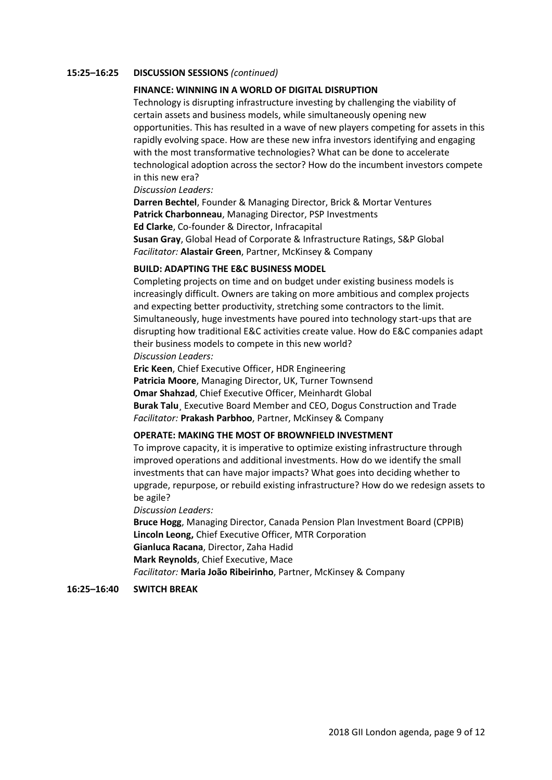## **15:25–16:25 DISCUSSION SESSIONS** *(continued)*

# **FINANCE: WINNING IN A WORLD OF DIGITAL DISRUPTION**

Technology is disrupting infrastructure investing by challenging the viability of certain assets and business models, while simultaneously opening new opportunities. This has resulted in a wave of new players competing for assets in this rapidly evolving space. How are these new infra investors identifying and engaging with the most transformative technologies? What can be done to accelerate technological adoption across the sector? How do the incumbent investors compete in this new era?

#### *Discussion Leaders:*

**Darren Bechtel**, Founder & Managing Director, Brick & Mortar Ventures **Patrick Charbonneau**, Managing Director, PSP Investments **Ed Clarke**, Co-founder & Director, Infracapital **Susan Gray**, Global Head of Corporate & Infrastructure Ratings, S&P Global *Facilitator:* **Alastair Green**, Partner, McKinsey & Company

## **BUILD: ADAPTING THE E&C BUSINESS MODEL**

Completing projects on time and on budget under existing business models is increasingly difficult. Owners are taking on more ambitious and complex projects and expecting better productivity, stretching some contractors to the limit. Simultaneously, huge investments have poured into technology start-ups that are disrupting how traditional E&C activities create value. How do E&C companies adapt their business models to compete in this new world? *Discussion Leaders:*

**Eric Keen**, Chief Executive Officer, HDR Engineering **Patricia Moore**, Managing Director, UK, Turner Townsend **Omar Shahzad**, Chief Executive Officer, Meinhardt Global **Burak Talu**¸ Executive Board Member and CEO, Dogus Construction and Trade *Facilitator:* **Prakash Parbhoo**, Partner, McKinsey & Company

#### **OPERATE: MAKING THE MOST OF BROWNFIELD INVESTMENT**

To improve capacity, it is imperative to optimize existing infrastructure through improved operations and additional investments. How do we identify the small investments that can have major impacts? What goes into deciding whether to upgrade, repurpose, or rebuild existing infrastructure? How do we redesign assets to be agile?

#### *Discussion Leaders:*

**Bruce Hogg**, Managing Director, Canada Pension Plan Investment Board (CPPIB) **Lincoln Leong,** Chief Executive Officer, MTR Corporation **Gianluca Racana**, Director, Zaha Hadid **Mark Reynolds**, Chief Executive, Mace *Facilitator:* **Maria João Ribeirinho**, Partner, McKinsey & Company

#### **16:25–16:40 SWITCH BREAK**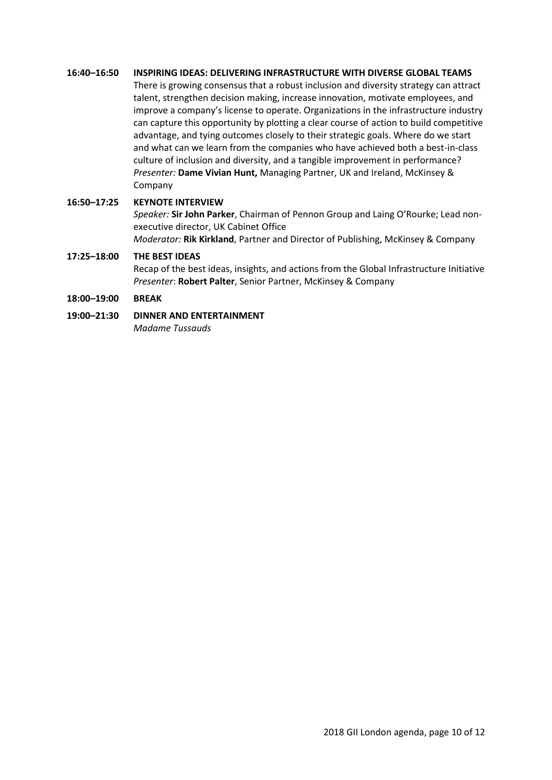# **16:40–16:50 INSPIRING IDEAS: DELIVERING INFRASTRUCTURE WITH DIVERSE GLOBAL TEAMS**

There is growing consensus that a robust inclusion and diversity strategy can attract talent, strengthen decision making, increase innovation, motivate employees, and improve a company's license to operate. Organizations in the infrastructure industry can capture this opportunity by plotting a clear course of action to build competitive advantage, and tying outcomes closely to their strategic goals. Where do we start and what can we learn from the companies who have achieved both a best-in-class culture of inclusion and diversity, and a tangible improvement in performance? *Presenter:* **Dame Vivian Hunt,** Managing Partner, UK and Ireland, McKinsey & Company

# **16:50–17:25 KEYNOTE INTERVIEW**

*Speaker:* **Sir John Parker**, Chairman of Pennon Group and Laing O'Rourke; Lead nonexecutive director, UK Cabinet Office *Moderator:* **Rik Kirkland**, Partner and Director of Publishing, McKinsey & Company

# **17:25–18:00 THE BEST IDEAS**

Recap of the best ideas, insights, and actions from the Global Infrastructure Initiative *Presenter*: **Robert Palter**, Senior Partner, McKinsey & Company

# **18:00–19:00 BREAK**

**19:00–21:30 DINNER AND ENTERTAINMENT**

*Madame Tussauds*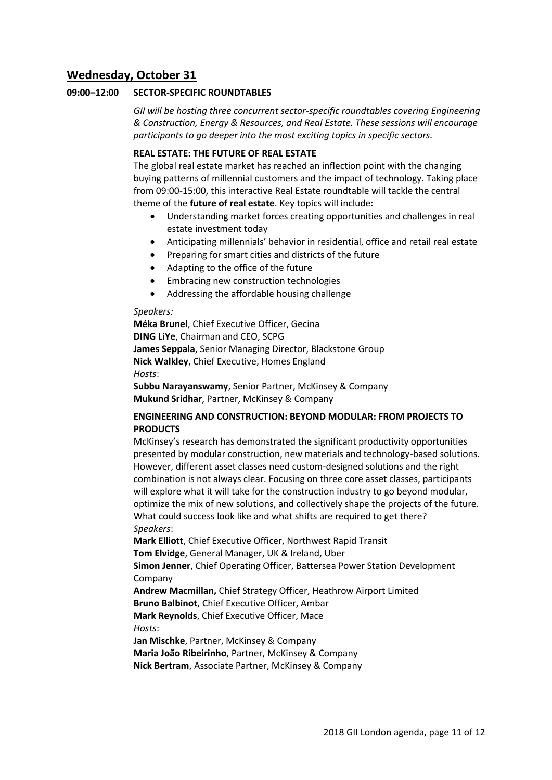# **Wednesday, October 31**

# **09:00–12:00 SECTOR-SPECIFIC ROUNDTABLES**

*GII will be hosting three concurrent sector-specific roundtables covering Engineering & Construction, Energy & Resources, and Real Estate. These sessions will encourage participants to go deeper into the most exciting topics in specific sectors.*

# **REAL ESTATE: THE FUTURE OF REAL ESTATE**

The global real estate market has reached an inflection point with the changing buying patterns of millennial customers and the impact of technology. Taking place from 09:00-15:00, this interactive Real Estate roundtable will tackle the central theme of the **future of real estate**. Key topics will include:

- Understanding market forces creating opportunities and challenges in real estate investment today
- Anticipating millennials' behavior in residential, office and retail real estate
- Preparing for smart cities and districts of the future
- Adapting to the office of the future
- Embracing new construction technologies
- Addressing the affordable housing challenge

#### *Speakers:*

**Méka Brunel**, Chief Executive Officer, Gecina **DING LiYe**, Chairman and CEO, SCPG **James Seppala**, Senior Managing Director, Blackstone Group **Nick Walkley**, Chief Executive, Homes England *Hosts*:

**Subbu Narayanswamy**, Senior Partner, McKinsey & Company **Mukund Sridhar**, Partner, McKinsey & Company

# **ENGINEERING AND CONSTRUCTION: BEYOND MODULAR: FROM PROJECTS TO PRODUCTS**

McKinsey's research has demonstrated the significant productivity opportunities presented by modular construction, new materials and technology-based solutions. However, different asset classes need custom-designed solutions and the right combination is not always clear. Focusing on three core asset classes, participants will explore what it will take for the construction industry to go beyond modular, optimize the mix of new solutions, and collectively shape the projects of the future. What could success look like and what shifts are required to get there? *Speakers*:

**Mark Elliott**, Chief Executive Officer, Northwest Rapid Transit **Tom Elvidge**, General Manager, UK & Ireland, Uber **Simon Jenner**, Chief Operating Officer, Battersea Power Station Development

Company

**Andrew Macmillan,** Chief Strategy Officer, Heathrow Airport Limited **Bruno Balbinot**, Chief Executive Officer, Ambar **Mark Reynolds**, Chief Executive Officer, Mace *Hosts*:

**Jan Mischke**, Partner, McKinsey & Company **Maria João Ribeirinho**, Partner, McKinsey & Company **Nick Bertram**, Associate Partner, McKinsey & Company